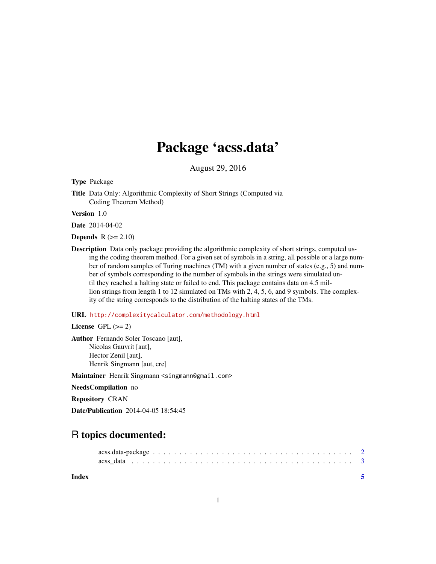## Package 'acss.data'

August 29, 2016

Type Package

Title Data Only: Algorithmic Complexity of Short Strings (Computed via Coding Theorem Method)

Version 1.0

Date 2014-04-02

Depends  $R$  ( $>= 2.10$ )

Description Data only package providing the algorithmic complexity of short strings, computed using the coding theorem method. For a given set of symbols in a string, all possible or a large number of random samples of Turing machines (TM) with a given number of states (e.g., 5) and number of symbols corresponding to the number of symbols in the strings were simulated until they reached a halting state or failed to end. This package contains data on 4.5 million strings from length 1 to 12 simulated on TMs with 2, 4, 5, 6, and 9 symbols. The complexity of the string corresponds to the distribution of the halting states of the TMs.

#### URL <http://complexitycalculator.com/methodology.html>

License GPL  $(>= 2)$ 

Author Fernando Soler Toscano [aut], Nicolas Gauvrit [aut], Hector Zenil [aut], Henrik Singmann [aut, cre]

Maintainer Henrik Singmann <singmann@gmail.com>

NeedsCompilation no

Repository CRAN

Date/Publication 2014-04-05 18:54:45

### R topics documented:

**Index** [5](#page-4-0). The second state of the second state of the second state of the second state of the second state of the second state of the second state of the second state of the second state of the second state of the second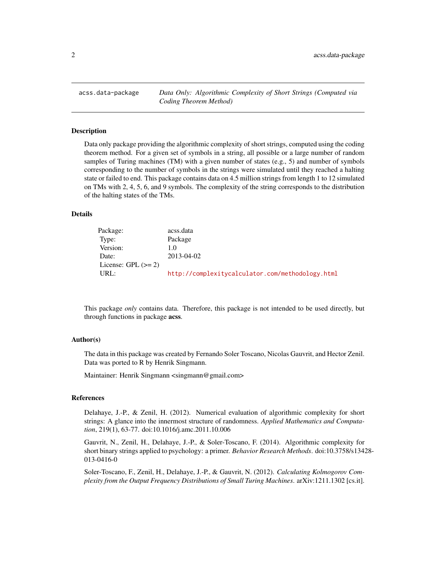<span id="page-1-0"></span>acss.data-package *Data Only: Algorithmic Complexity of Short Strings (Computed via Coding Theorem Method)*

#### Description

Data only package providing the algorithmic complexity of short strings, computed using the coding theorem method. For a given set of symbols in a string, all possible or a large number of random samples of Turing machines (TM) with a given number of states (e.g., 5) and number of symbols corresponding to the number of symbols in the strings were simulated until they reached a halting state or failed to end. This package contains data on 4.5 million strings from length 1 to 12 simulated on TMs with 2, 4, 5, 6, and 9 symbols. The complexity of the string corresponds to the distribution of the halting states of the TMs.

#### Details

| Package:              | acss.data                                        |
|-----------------------|--------------------------------------------------|
| Type:                 | Package                                          |
| Version:              | 1.0                                              |
| Date:                 | 2013-04-02                                       |
| License: GPL $(>= 2)$ |                                                  |
| URL:                  | http://complexitycalculator.com/methodology.html |

This package *only* contains data. Therefore, this package is not intended to be used directly, but through functions in package acss.

#### Author(s)

The data in this package was created by Fernando Soler Toscano, Nicolas Gauvrit, and Hector Zenil. Data was ported to R by Henrik Singmann.

Maintainer: Henrik Singmann <singmann@gmail.com>

#### References

Delahaye, J.-P., & Zenil, H. (2012). Numerical evaluation of algorithmic complexity for short strings: A glance into the innermost structure of randomness. *Applied Mathematics and Computation*, 219(1), 63-77. doi:10.1016/j.amc.2011.10.006

Gauvrit, N., Zenil, H., Delahaye, J.-P., & Soler-Toscano, F. (2014). Algorithmic complexity for short binary strings applied to psychology: a primer. *Behavior Research Methods*. doi:10.3758/s13428- 013-0416-0

Soler-Toscano, F., Zenil, H., Delahaye, J.-P., & Gauvrit, N. (2012). *Calculating Kolmogorov Complexity from the Output Frequency Distributions of Small Turing Machines*. arXiv:1211.1302 [cs.it].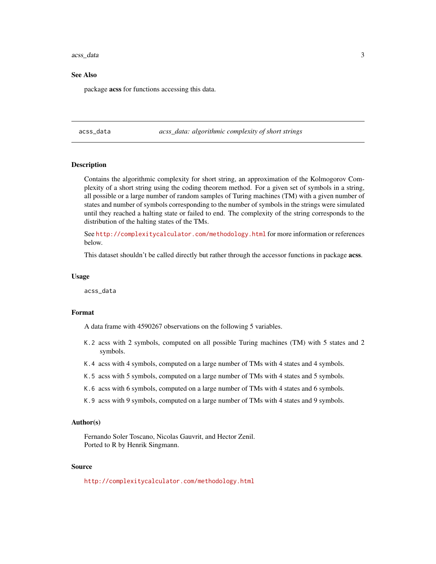#### <span id="page-2-0"></span>acss\_data 3

#### See Also

package acss for functions accessing this data.

acss\_data *acss\_data: algorithmic complexity of short strings*

#### Description

Contains the algorithmic complexity for short string, an approximation of the Kolmogorov Complexity of a short string using the coding theorem method. For a given set of symbols in a string, all possible or a large number of random samples of Turing machines (TM) with a given number of states and number of symbols corresponding to the number of symbols in the strings were simulated until they reached a halting state or failed to end. The complexity of the string corresponds to the distribution of the halting states of the TMs.

See <http://complexitycalculator.com/methodology.html> for more information or references below.

This dataset shouldn't be called directly but rather through the accessor functions in package acss.

#### Usage

acss\_data

#### Format

A data frame with 4590267 observations on the following 5 variables.

- K.2 acss with 2 symbols, computed on all possible Turing machines (TM) with 5 states and 2 symbols.
- K.4 acss with 4 symbols, computed on a large number of TMs with 4 states and 4 symbols.
- K.5 acss with 5 symbols, computed on a large number of TMs with 4 states and 5 symbols.
- K.6 acss with 6 symbols, computed on a large number of TMs with 4 states and 6 symbols.
- K.9 acss with 9 symbols, computed on a large number of TMs with 4 states and 9 symbols.

#### Author(s)

Fernando Soler Toscano, Nicolas Gauvrit, and Hector Zenil. Ported to R by Henrik Singmann.

#### Source

<http://complexitycalculator.com/methodology.html>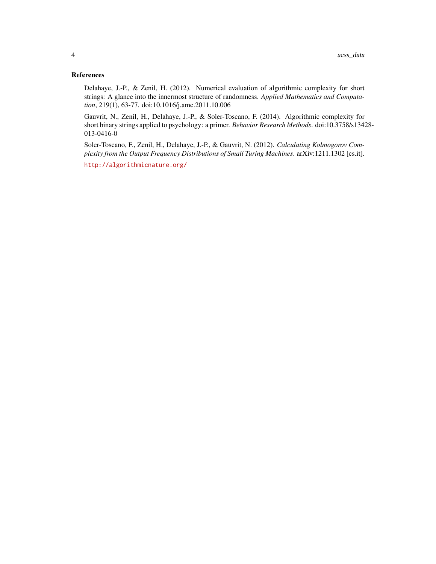#### References

Delahaye, J.-P., & Zenil, H. (2012). Numerical evaluation of algorithmic complexity for short strings: A glance into the innermost structure of randomness. *Applied Mathematics and Computation*, 219(1), 63-77. doi:10.1016/j.amc.2011.10.006

Gauvrit, N., Zenil, H., Delahaye, J.-P., & Soler-Toscano, F. (2014). Algorithmic complexity for short binary strings applied to psychology: a primer. *Behavior Research Methods*. doi:10.3758/s13428- 013-0416-0

Soler-Toscano, F., Zenil, H., Delahaye, J.-P., & Gauvrit, N. (2012). *Calculating Kolmogorov Complexity from the Output Frequency Distributions of Small Turing Machines*. arXiv:1211.1302 [cs.it].

<http://algorithmicnature.org/>